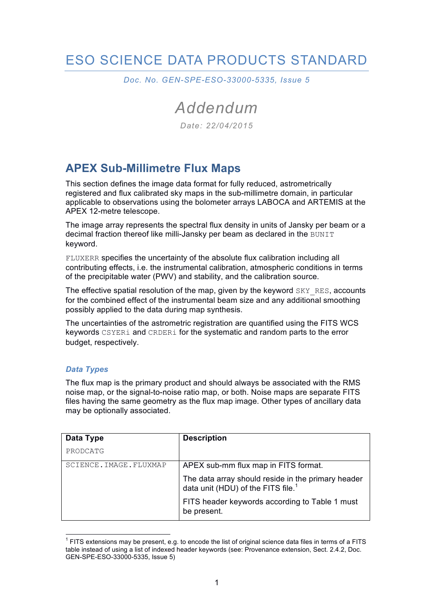# ESO SCIENCE DATA PRODUCTS STANDARD

*Doc. No. GEN-SPE-ESO-33000-5335, Issue 5*

*Addendum*

*Date: 22/04/2015*

## **APEX Sub-Millimetre Flux Maps**

This section defines the image data format for fully reduced, astrometrically registered and flux calibrated sky maps in the sub-millimetre domain, in particular applicable to observations using the bolometer arrays LABOCA and ARTEMIS at the APEX 12-metre telescope.

The image array represents the spectral flux density in units of Jansky per beam or a decimal fraction thereof like milli-Jansky per beam as declared in the BUNIT keyword.

FLUXERR specifies the uncertainty of the absolute flux calibration including all contributing effects, i.e. the instrumental calibration, atmospheric conditions in terms of the precipitable water (PWV) and stability, and the calibration source.

The effective spatial resolution of the map, given by the keyword SKY\_RES, accounts for the combined effect of the instrumental beam size and any additional smoothing possibly applied to the data during map synthesis.

The uncertainties of the astrometric registration are quantified using the FITS WCS keywords CSYERi and CRDERi for the systematic and random parts to the error budget, respectively.

#### *Data Types*

The flux map is the primary product and should always be associated with the RMS noise map, or the signal-to-noise ratio map, or both. Noise maps are separate FITS files having the same geometry as the flux map image. Other types of ancillary data may be optionally associated.

| Data Type               | <b>Description</b>                                                                                |
|-------------------------|---------------------------------------------------------------------------------------------------|
| PRODCATG                |                                                                                                   |
| SCIENCE. IMAGE. FLUXMAP | APEX sub-mm flux map in FITS format.                                                              |
|                         | The data array should reside in the primary header data unit (HDU) of the FITS file. <sup>1</sup> |
|                         | FITS header keywords according to Table 1 must<br>be present.                                     |

 $1$  FITS extensions may be present, e.g. to encode the list of original science data files in terms of a FITS table instead of using a list of indexed header keywords (see: Provenance extension, Sect. 2.4.2, Doc. GEN-SPE-ESO-33000-5335, Issue 5)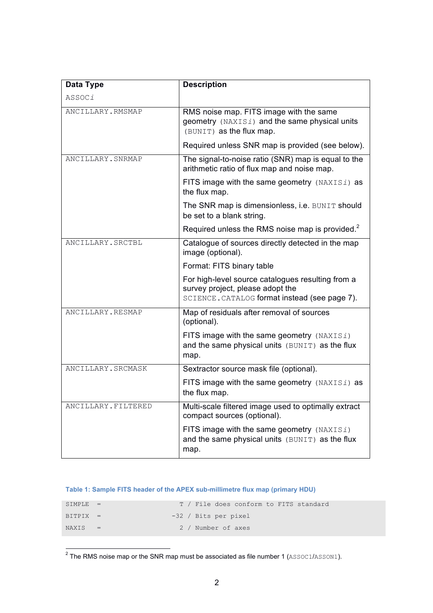| Data Type           | <b>Description</b>                                                                                                                     |
|---------------------|----------------------------------------------------------------------------------------------------------------------------------------|
| ASSOCi              |                                                                                                                                        |
| ANCILLARY.RMSMAP    | RMS noise map. FITS image with the same<br>geometry (NAXISi) and the same physical units<br>(BUNIT) as the flux map.                   |
|                     | Required unless SNR map is provided (see below).                                                                                       |
| ANCILLARY. SNRMAP   | The signal-to-noise ratio (SNR) map is equal to the<br>arithmetic ratio of flux map and noise map.                                     |
|                     | FITS image with the same geometry (NAXISi) as<br>the flux map.                                                                         |
|                     | The SNR map is dimensionless, i.e. BUNIT should<br>be set to a blank string.                                                           |
|                     | Required unless the RMS noise map is provided. <sup>2</sup>                                                                            |
| ANCILLARY.SRCTBL    | Catalogue of sources directly detected in the map<br>image (optional).                                                                 |
|                     | Format: FITS binary table                                                                                                              |
|                     | For high-level source catalogues resulting from a<br>survey project, please adopt the<br>SCIENCE. CATALOG format instead (see page 7). |
| ANCILLARY.RESMAP    | Map of residuals after removal of sources<br>(optional).                                                                               |
|                     | FITS image with the same geometry (NAXISi)<br>and the same physical units (BUNIT) as the flux<br>map.                                  |
| ANCILLARY.SRCMASK   | Sextractor source mask file (optional).                                                                                                |
|                     | FITS image with the same geometry (NAXISi) as<br>the flux map.                                                                         |
| ANCILLARY. FILTERED | Multi-scale filtered image used to optimally extract<br>compact sources (optional).                                                    |
|                     | FITS image with the same geometry $(NAXISI)$<br>and the same physical units (BUNIT) as the flux<br>map.                                |

#### **Table 1: Sample FITS header of the APEX sub-millimetre flux map (primary HDU)**

| $STMPI.F. =$ |  | T / File does conform to FITS standard |
|--------------|--|----------------------------------------|
| $BITPTY =$   |  | -32 / Bits per pixel                   |
| $NAYTS =$    |  | 2 / Number of axes                     |

 $\frac{1}{2}$ The RMS noise map or the SNR map must be associated as file number 1 (ASSOC1/ASSON1).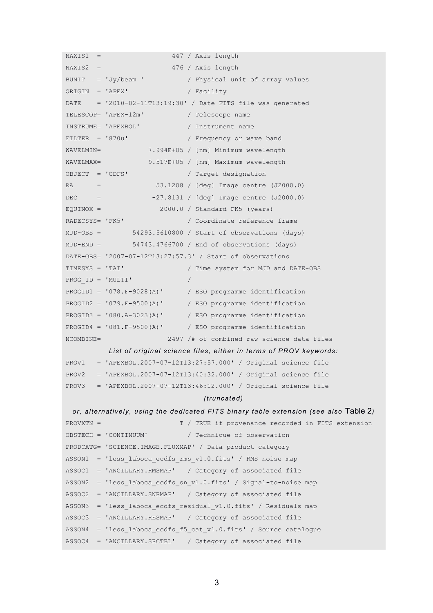```
NAXIS1 = 447 / Axis length
NAXIS2 = 476 / Axis length
BUNIT = Jy/beam / Physical unit of array values
ORIGIN = 'APEX' / Facility
DATE = '2010-02-11T13:19:30' / Date FITS file was generated 
TELESCOP= 'APEX-12m' / Telescope name 
INSTRUME= 'APEXBOL' / Instrument name 
FILTER = '870u' / Frequency or wave band
WAVELMIN= 7.994E+05 / [nm] Minimum wavelength 
WAVELMAX= 9.517E+05 / [nm] Maximum wavelength 
OBJECT = 'CDFS' / Target designation 
RA = 53.1208 / [deg] Image centre (J2000.0) 
DEC = -27.8131 / [deg] Image centre (J2000.0)EQUINOX = 2000.0 / Standard FK5 (years)RADECSYS= 'FK5' / Coordinate reference frame
MJD-OBS = 54293.5610800 / Start of observations (days) 
MJD-END = 54743.4766700 / End of observations (days) 
DATE-OBS= '2007-07-12T13:27:57.3' / Start of observations 
TIMESYS = 'TAI' / Time system for MJD and DATE-OBS 
PROG_ID = 'MULTI' / 
PROGID1 = '078.F-9028(A)' / ESO programme identification 
PROGID2 = '079.F-9500(A)' / ESO programme identification 
PROGID3 = '080.A-3023(A)' / ESO programme identification 
PROGID4 = '081.F-9500(A)' / ESO programme identification 
NCOMBINE= 2497 /# of combined raw science data files 
        List of original science files, either in terms of PROV keywords:
PROV1 = 'APEXBOL.2007-07-12T13:27:57.000' / Original science file 
PROV2 = 'APEXBOL.2007-07-12T13:40:32.000' / Original science file 
PROV3 = 'APEXBOL.2007-07-12T13:46:12.000' / Original science file 
                               (truncated)
or, alternatively, using the dedicated FITS binary table extension (see also Table 2)
PROVXTN = T / TRUE if provenance recorded in FITS extension 
OBSTECH = 'CONTINUUM' / Technique of observation 
PRODCATG= 'SCIENCE.IMAGE.FLUXMAP' / Data product category 
ASSON1 = 'less laboca ecdfs rms v1.0.fits' / RMS noise map
ASSOC1 = 'ANCILLARY.RMSMAP' / Category of associated file 
ASSON2 = 'less laboca ecdfs sn v1.0.fits' / Signal-to-noise map
ASSOC2 = 'ANCILLARY.SNRMAP' / Category of associated file 
ASSON3 = 'less laboca ecdfs residual v1.0.fits' / Residuals map
ASSOC3 = 'ANCILLARY.RESMAP' / Category of associated file 
ASSON4 = 'less laboca ecdfs f5 cat v1.0.fits' / Source catalogue
ASSOC4 = 'ANCILLARY.SRCTBL' / Category of associated file
```

```
3
```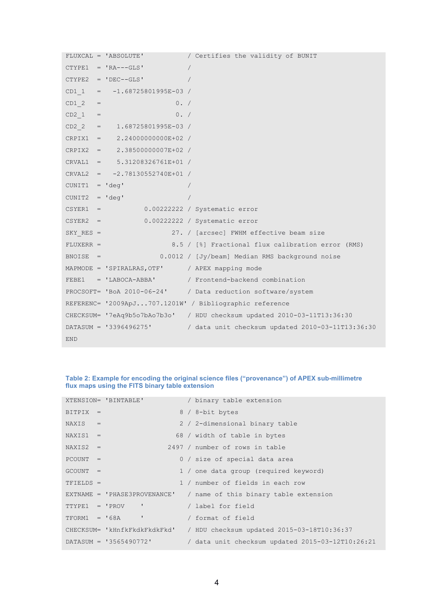```
FLUXCAL = 'ABSOLUTE' / Certifies the validity of BUNIT 
CTYPE1 = 'RA---GLS' /
CTYPE2 = 'DEC--GLS' /
CD1 = -1.68725801995E-03 /
CD1 \t2 = 0. /CD2 1 = 0. /CD2 = 1.68725801995E-03 /
CRPIX1 = 2.24000000000E+02 / 
CRPIX2 = 2.38500000007E+02 / 
CRVAL1 = 5.31208326761E+01 / 
CRVAL2 = -2.78130552740E+01 / 
CUNIT1 = 'deg' / 
CUNIT2 = 'deq' /
CSYER1 = 0.00222222 / Systematic error 
CSYER2 = 0.00222222 / Systematic error 
SKY_RES = 27. / [arcsec] FWHM effective beam size
FLUXERR = 8.5 / [%] Fractional flux calibration error (RMS) 
BNOISE = 0.0012 / [Jy/beam] Median RMS background noise 
MAPMODE = 'SPIRALRAS, OTF' / APEX mapping mode
FEBE1 = 'LABOCA-ABBA' / Frontend-backend combination 
PROCSOFT= 'BoA 2010-06-24' / Data reduction software/system 
REFERENC= '2009ApJ...707.1201W' / Bibliographic reference 
CHECKSUM= '7eAq9b5o7bAo7b3o' / HDU checksum updated 2010-03-11T13:36:30 
DATASUM = '3396496275' / data unit checksum updated 2010-03-11T13:36:30 
END
```
#### **Table 2: Example for encoding the original science files ("provenance") of APEX sub-millimetre flux maps using the FITS binary table extension**

|             | XTENSION= 'BINTABLE'           | / binary table extension                         |
|-------------|--------------------------------|--------------------------------------------------|
| $BITPLY =$  |                                | 8 / 8-bit bytes                                  |
| $NAXIS =$   |                                | 2 / 2-dimensional binary table                   |
| $NAXIS1 =$  |                                | 68 / width of table in bytes                     |
| $NAXIS2 =$  |                                | 2497 / number of rows in table                   |
| $PCOUNT =$  |                                | 0 / size of special data area                    |
| $GCOUNT =$  |                                | 1 / one data group (required keyword)            |
| $TFIELDS =$ |                                | 1 / number of fields in each row                 |
|             | $EXTNAME = 'PHASE3PROVENANCE'$ | / name of this binary table extension            |
|             | $TTYPE1 = 'PROV'$              | / label for field                                |
|             | ×<br>$TFORM1 = '68A$           | / format of field                                |
|             | CHECKSUM= 'kHnfkFkdkFkdkFkd'   | / HDU checksum updated 2015-03-18T10:36:37       |
|             | $DATASUM = '3565490772'$       | / data unit checksum updated 2015-03-12T10:26:21 |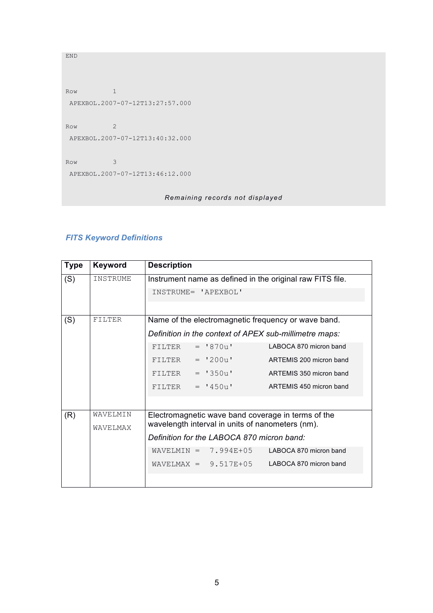```
Row 1
APEXBOL.2007-07-12T13:27:57.000
Row 2
APEXBOL.2007-07-12T13:40:32.000
Row 3
APEXBOL.2007-07-12T13:46:12.000
```
END

*Remaining records not displayed*

### *FITS Keyword Definitions*

| <b>Type</b> | Keyword       | <b>Description</b>                                        |  |  |
|-------------|---------------|-----------------------------------------------------------|--|--|
| (S)         | INSTRUME      | Instrument name as defined in the original raw FITS file. |  |  |
|             |               | INSTRUME= 'APEXBOL'                                       |  |  |
|             |               |                                                           |  |  |
| (S)         | <b>FILTER</b> | Name of the electromagnetic frequency or wave band.       |  |  |
|             |               | Definition in the context of APEX sub-millimetre maps:    |  |  |
|             |               | LABOCA 870 micron band<br>$=$ '870u'<br>FILTER            |  |  |
|             |               | $= 1200u'$<br>ARTEMIS 200 micron band<br>FILTER           |  |  |
|             |               | FILTER<br>$= 1350u$<br>ARTEMIS 350 micron band            |  |  |
|             |               | ARTEMIS 450 micron band<br>$= 1450u$<br>FILTER            |  |  |
|             |               |                                                           |  |  |
| (R)         | WAVELMIN      | Electromagnetic wave band coverage in terms of the        |  |  |
|             | WAVELMAX      | wavelength interval in units of nanometers (nm).          |  |  |
|             |               | Definition for the LABOCA 870 micron band:                |  |  |
|             |               | $WAVELMIN = 7.994E+05$<br>LABOCA 870 micron band          |  |  |
|             |               | $WAVELMAX = 9.517E+05$<br>LABOCA 870 micron band          |  |  |
|             |               |                                                           |  |  |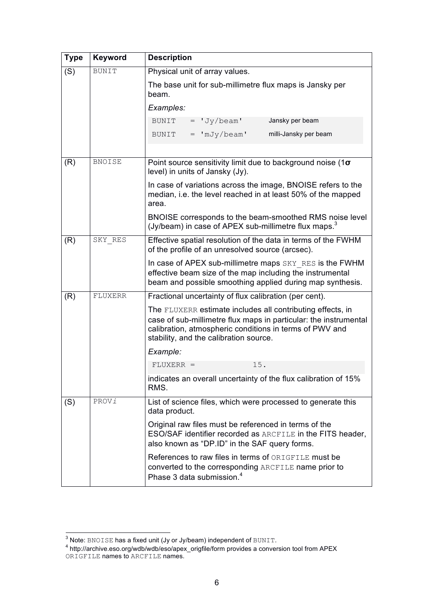| <b>Type</b>                                           | Keyword       | <b>Description</b>                                                                                                                                                                                                                  |  |  |  |
|-------------------------------------------------------|---------------|-------------------------------------------------------------------------------------------------------------------------------------------------------------------------------------------------------------------------------------|--|--|--|
| Physical unit of array values.<br>(S)<br><b>BUNIT</b> |               |                                                                                                                                                                                                                                     |  |  |  |
|                                                       |               | The base unit for sub-millimetre flux maps is Jansky per<br>beam.                                                                                                                                                                   |  |  |  |
|                                                       |               | Examples:                                                                                                                                                                                                                           |  |  |  |
|                                                       |               | $=$ $Jy/beam'$<br>Jansky per beam<br>BUNIT                                                                                                                                                                                          |  |  |  |
|                                                       |               | $=$ 'mJy/beam'<br>milli-Jansky per beam<br>BUNIT                                                                                                                                                                                    |  |  |  |
|                                                       |               |                                                                                                                                                                                                                                     |  |  |  |
| (R)                                                   | <b>BNOISE</b> | Point source sensitivity limit due to background noise (1 $\sigma$ )<br>level) in units of Jansky (Jy).                                                                                                                             |  |  |  |
|                                                       |               | In case of variations across the image, BNOISE refers to the<br>median, i.e. the level reached in at least 50% of the mapped<br>area.                                                                                               |  |  |  |
|                                                       |               | BNOISE corresponds to the beam-smoothed RMS noise level<br>(Jy/beam) in case of APEX sub-millimetre flux maps. <sup>3</sup>                                                                                                         |  |  |  |
| (R)                                                   | SKY RES       | Effective spatial resolution of the data in terms of the FWHM<br>of the profile of an unresolved source (arcsec).                                                                                                                   |  |  |  |
|                                                       |               | In case of APEX sub-millimetre maps SKY RES is the FWHM<br>effective beam size of the map including the instrumental<br>beam and possible smoothing applied during map synthesis.                                                   |  |  |  |
| (R)                                                   | FLUXERR       | Fractional uncertainty of flux calibration (per cent).                                                                                                                                                                              |  |  |  |
|                                                       |               | The FLUXERR estimate includes all contributing effects, in<br>case of sub-millimetre flux maps in particular: the instrumental<br>calibration, atmospheric conditions in terms of PWV and<br>stability, and the calibration source. |  |  |  |
|                                                       |               | Example:                                                                                                                                                                                                                            |  |  |  |
|                                                       |               | 15.<br>$FLUXERR =$                                                                                                                                                                                                                  |  |  |  |
|                                                       |               | indicates an overall uncertainty of the flux calibration of 15%<br>RMS.                                                                                                                                                             |  |  |  |
| (S)                                                   | PROVi         | List of science files, which were processed to generate this<br>data product.                                                                                                                                                       |  |  |  |
|                                                       |               | Original raw files must be referenced in terms of the<br>ESO/SAF identifier recorded as ARCFILE in the FITS header,<br>also known as "DP.ID" in the SAF query forms.                                                                |  |  |  |
|                                                       |               | References to raw files in terms of ORIGFILE must be<br>converted to the corresponding ARCFILE name prior to<br>Phase 3 data submission. <sup>4</sup>                                                                               |  |  |  |

 $\frac{3}{4}$  Note: <code>BNOISE</code> has a fixed unit (Jy or Jy/beam) independent of <code>BUNIT.</code>  $^4$  http://archive.eso.org/wdb/wdb/eso/apex\_origfile/form provides a conversion tool from APEX  $^4$ ORIGFILE names to ARCFILE names.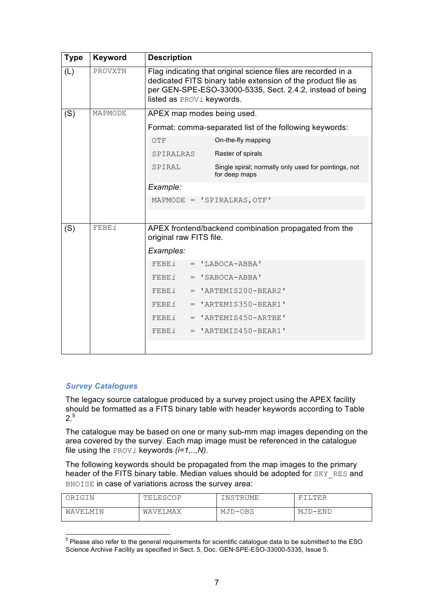| <b>Type</b> | Keyword      | <b>Description</b>                                                                                                                                                                                                      |  |  |
|-------------|--------------|-------------------------------------------------------------------------------------------------------------------------------------------------------------------------------------------------------------------------|--|--|
| (L)         | PROVXTN      | Flag indicating that original science files are recorded in a<br>dedicated FITS binary table extension of the product file as<br>per GEN-SPE-ESO-33000-5335, Sect. 2.4.2, instead of being<br>listed as PROVi keywords. |  |  |
| (S)         | MAPMODE      | APEX map modes being used.                                                                                                                                                                                              |  |  |
|             |              | Format: comma-separated list of the following keywords:                                                                                                                                                                 |  |  |
|             |              | On-the-fly mapping<br>OTF                                                                                                                                                                                               |  |  |
|             |              | Raster of spirals<br>SPIRALRAS                                                                                                                                                                                          |  |  |
|             |              | Single spiral; normally only used for pointings, not<br>SPIRAL<br>for deep maps                                                                                                                                         |  |  |
|             |              | Example:                                                                                                                                                                                                                |  |  |
|             |              | MAPMODE = 'SPIRALRAS, OTF'                                                                                                                                                                                              |  |  |
|             |              |                                                                                                                                                                                                                         |  |  |
| (S)         | <b>FEBEi</b> | APEX frontend/backend combination propagated from the<br>original raw FITS file.                                                                                                                                        |  |  |
|             |              | Examples:                                                                                                                                                                                                               |  |  |
|             |              | FEBEI<br>$= 'LABOCA-ABBA'$                                                                                                                                                                                              |  |  |
|             |              | $= 'SABOCA-ABBA'$<br>FEBEI                                                                                                                                                                                              |  |  |
|             |              | $= 'ARTEMIS200-BEAR2'$<br>FEBEI                                                                                                                                                                                         |  |  |
|             |              | $= 'ARTEMIS350-BEAR1'$<br>FEBEI                                                                                                                                                                                         |  |  |
|             |              | $= 'ARTEMIS450-ARTBE'$<br>FEBEI                                                                                                                                                                                         |  |  |
|             |              | FEBEI<br>$= 'ARTEMIS450-BEAR1'$                                                                                                                                                                                         |  |  |
|             |              |                                                                                                                                                                                                                         |  |  |

#### *Survey Catalogues*

The legacy source catalogue produced by a survey project using the APEX facility should be formatted as a FITS binary table with header keywords according to Table 2.5

The catalogue may be based on one or many sub-mm map images depending on the area covered by the survey. Each map image must be referenced in the catalogue file using the PROV*i* keywords *(i=1,..,N)*.

The following keywords should be propagated from the map images to the primary header of the FITS binary table. Median values should be adopted for SKY\_RES and BNOISE in case of variations across the survey area:

| ORIGIN   | TELESCOP | INSTRUME | ILTER   |
|----------|----------|----------|---------|
| WAVELMIN | WAVELMAX | MJD-OBS  | MJD-END |

 <sup>5</sup> Please also refer to the general requirements for scientific catalogue data to be submitted to the ESO Science Archive Facility as specified in Sect. 5, Doc. GEN-SPE-ESO-33000-5335, Issue 5.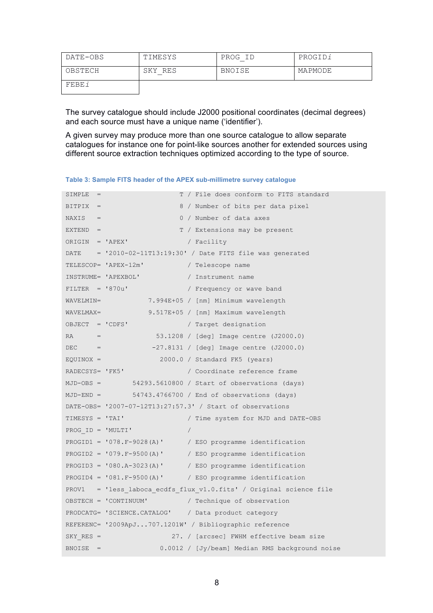| DATE-OBS | TIMESYS | PROG ID       | PROGIDi |
|----------|---------|---------------|---------|
| OBSTECH  | SKY RES | <b>BNOISE</b> | MAPMODE |
| FEBE i   |         |               |         |

The survey catalogue should include J2000 positional coordinates (decimal degrees) and each source must have a unique name ('identifier').

A given survey may produce more than one source catalogue to allow separate catalogues for instance one for point-like sources another for extended sources using different source extraction techniques optimized according to the type of source.

**Table 3: Sample FITS header of the APEX sub-millimetre survey catalogue**

| SIMPLE<br>$=$     | T / File does conform to FITS standard                             |
|-------------------|--------------------------------------------------------------------|
| $BITPIX =$        | 8 / Number of bits per data pixel                                  |
| $NAXIS =$         | 0 / Number of data axes                                            |
| $EXTEND =$        | T / Extensions may be present                                      |
| ORIGIN = 'APEX'   | / Facility                                                         |
|                   | DATE = $'2010-02-11T13:19:30'$ / Date FITS file was generated      |
|                   | TELESCOP= 'APEX-12m'<br>/ Telescope name                           |
|                   | INSTRUME= 'APEXBOL'<br>/ Instrument name                           |
| $FILTER = '870u'$ | / Frequency or wave band                                           |
| WAVELMIN=         | 7.994E+05 / [nm] Minimum wavelength                                |
|                   | WAVELMAX=<br>9.517E+05 / [nm] Maximum wavelength                   |
| OBJECT = 'CDFS'   | / Target designation                                               |
| $RA =$            | 53.1208 / [deg] Image centre (J2000.0)                             |
| $DEC =$           | -27.8131 / [deg] Image centre (J2000.0)                            |
| $EQUINOX =$       | 2000.0 / Standard FK5 (years)                                      |
|                   | RADECSYS= 'FK5'<br>/ Coordinate reference frame                    |
| $MJD-OBS =$       | 54293.5610800 / Start of observations (days)                       |
|                   | $MJD$ -END = $54743.4766700 /$ End of observations (days)          |
|                   | DATE-OBS= '2007-07-12T13:27:57.3' / Start of observations          |
| TIMESYS = 'TAI'   | / Time system for MJD and DATE-OBS                                 |
| PROG ID = 'MULTI' |                                                                    |
|                   | PROGID1 = $'078.F-9028(A)$<br>/ ESO programme identification       |
|                   | PROGID2 = '079.F-9500(A)' / ESO programme identification           |
|                   | PROGID3 = $'080.A-3023(A)'$<br>/ ESO programme identification      |
|                   | PROGID4 = $'081.F-9500(A)'$ / ESO programme identification         |
|                   | PROV1 = 'less laboca ecdfs flux v1.0.fits' / Original science file |
|                   | OBSTECH = 'CONTINUUM'<br>/ Technique of observation                |
|                   | PRODCATG= 'SCIENCE.CATALOG' / Data product category                |
|                   | REFERENC= '2009ApJ707.1201W' / Bibliographic reference             |
| $SKY$ RES =       | 27. / [arcsec] FWHM effective beam size                            |
| $BNOISE =$        | 0.0012 / [Jy/beam] Median RMS background noise                     |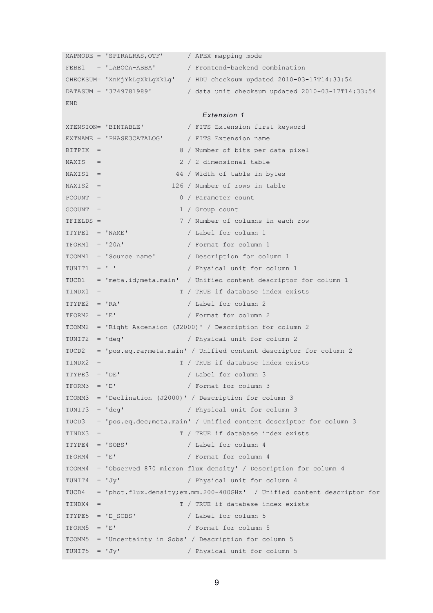```
MAPMODE = 'SPIRALRAS, OTF' / APEX mapping mode
FEBE1 = 'LABOCA-ABBA' / Frontend-backend combination 
CHECKSUM= 'XnMjYkLgXkLgXkLg' / HDU checksum updated 2010-03-17T14:33:54
DATASUM = '3749781989' / data unit checksum updated 2010-03-17T14:33:54
END 
                           Extension 1
XTENSION= 'BINTABLE' / FITS Extension first keyword 
EXTNAME = 'PHASE3CATALOG' / FITS Extension name 
BITPIX = 8 / Number of bits per data pixel
NAXIS = 2 / 2-dimensional table
NAXIS1 = 44 / Width of table in bytesNAXIS2 = 126 / Number of rows in table
PCOUNT = 0 / Parameter count
GCOUNT = 1 / Group countTFIELDS = 7 / Number of columns in each row 
TTYPE1 = 'NAME' / Label for column 1
TFORM1 = '20A' / Format for column 1
TCOMM1 = 'Source name' / Description for column 1
TUNIT1 = ' ' / Physical unit for column 1
TUCD1 = 'meta.id;meta.main' / Unified content descriptor for column 1
TINDX1 = T / TRUE if database index exists
TTYPE2 = 'RA' / Label for column 2
TFORM2 = 'E' / Format for column 2
TCOMM2 = 'Right Ascension (J2000)' / Description for column 2
TUNIT2 = 'deg' / Physical unit for column 2
TUCD2 = 'pos.eq.ra;meta.main' / Unified content descriptor for column 2
TINDX2 = T / TRUE if database index exists
TTYPE3 = 'DE' / Label for column 3
TFORM3 = 'E' / Format for column 3
TCOMM3 = 'Declination (J2000)' / Description for column 3
TUNIT3 = 'deg' / Physical unit for column 3
TUCD3 = 'pos.eq.dec;meta.main' / Unified content descriptor for column 3
TINDX3 = T / TRUE if database index exists
TTYPE4 = 'SOBS' / Label for column 4
TFORM4 = 'E' / Format for column 4TCOMM4 = 'Observed 870 micron flux density' / Description for column 4
TUNIT4 = 'Jy' / Physical unit for column 4
TUCD4 = 'phot.flux.density;em.mm.200-400GHz' / Unified content descriptor for
TINDX4 = T / TRUE if database index exists
TTYPE5 = 'E_SOBS' / Label for column 5
TFORM5 = 'E' / Format for column 5
TCOMM5 = 'Uncertainty in Sobs' / Description for column 5
TUNIT5 = 'Jy' / Physical unit for column 5
```